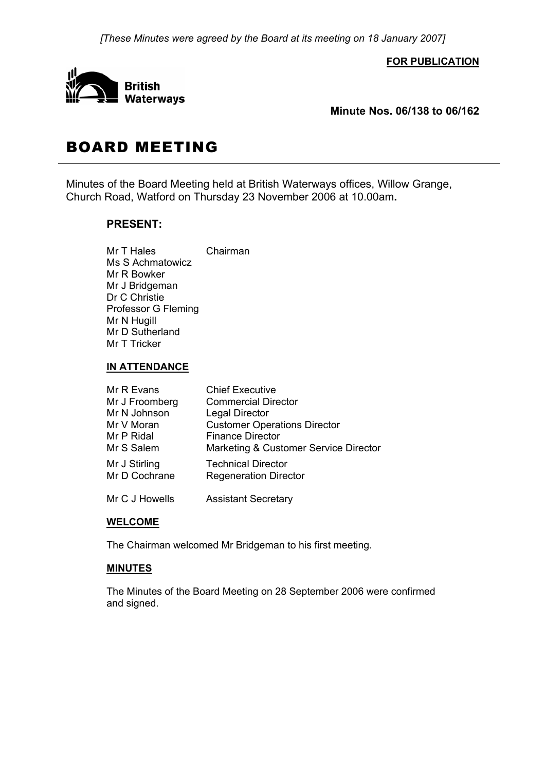*[These Minutes were agreed by the Board at its meeting on 18 January 2007]* 

#### **FOR PUBLICATION**



**Minute Nos. 06/138 to 06/162** 

# BOARD MEETING

Minutes of the Board Meeting held at British Waterways offices, Willow Grange, Church Road, Watford on Thursday 23 November 2006 at 10.00am**.**

# **PRESENT:**

Mr T Hales Chairman Ms S Achmatowicz Mr R Bowker Mr J Bridgeman Dr C Christie Professor G Fleming Mr N Hugill Mr D Sutherland Mr T Tricker

#### **IN ATTENDANCE**

| Mr R Evans     | <b>Chief Executive</b>                |
|----------------|---------------------------------------|
| Mr J Froomberg | <b>Commercial Director</b>            |
| Mr N Johnson   | <b>Legal Director</b>                 |
| Mr V Moran     | <b>Customer Operations Director</b>   |
| Mr P Ridal     | <b>Finance Director</b>               |
| Mr S Salem     | Marketing & Customer Service Director |
| Mr J Stirling  | <b>Technical Director</b>             |
| Mr D Cochrane  | <b>Regeneration Director</b>          |
| Mr C J Howells | <b>Assistant Secretary</b>            |

#### **WELCOME**

The Chairman welcomed Mr Bridgeman to his first meeting.

# **MINUTES**

 The Minutes of the Board Meeting on 28 September 2006 were confirmed and signed.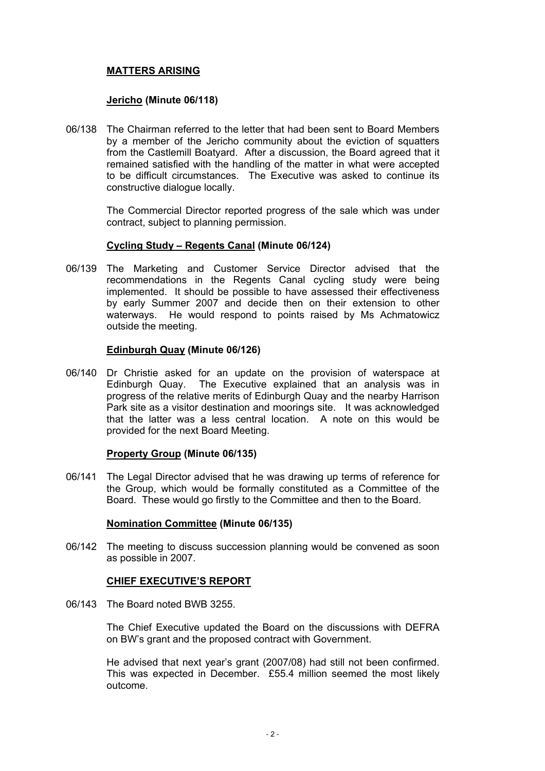# **MATTERS ARISING**

### **Jericho (Minute 06/118)**

06/138 The Chairman referred to the letter that had been sent to Board Members by a member of the Jericho community about the eviction of squatters from the Castlemill Boatyard. After a discussion, the Board agreed that it remained satisfied with the handling of the matter in what were accepted to be difficult circumstances. The Executive was asked to continue its constructive dialogue locally.

> The Commercial Director reported progress of the sale which was under contract, subject to planning permission.

#### **Cycling Study – Regents Canal (Minute 06/124)**

06/139 The Marketing and Customer Service Director advised that the recommendations in the Regents Canal cycling study were being implemented. It should be possible to have assessed their effectiveness by early Summer 2007 and decide then on their extension to other waterways. He would respond to points raised by Ms Achmatowicz outside the meeting.

### **Edinburgh Quay (Minute 06/126)**

06/140 Dr Christie asked for an update on the provision of waterspace at Edinburgh Quay. The Executive explained that an analysis was in progress of the relative merits of Edinburgh Quay and the nearby Harrison Park site as a visitor destination and moorings site. It was acknowledged that the latter was a less central location. A note on this would be provided for the next Board Meeting.

#### **Property Group (Minute 06/135)**

06/141 The Legal Director advised that he was drawing up terms of reference for the Group, which would be formally constituted as a Committee of the Board. These would go firstly to the Committee and then to the Board.

#### **Nomination Committee (Minute 06/135)**

06/142 The meeting to discuss succession planning would be convened as soon as possible in 2007.

# **CHIEF EXECUTIVE'S REPORT**

06/143 The Board noted BWB 3255.

 The Chief Executive updated the Board on the discussions with DEFRA on BW's grant and the proposed contract with Government.

 He advised that next year's grant (2007/08) had still not been confirmed. This was expected in December. £55.4 million seemed the most likely outcome.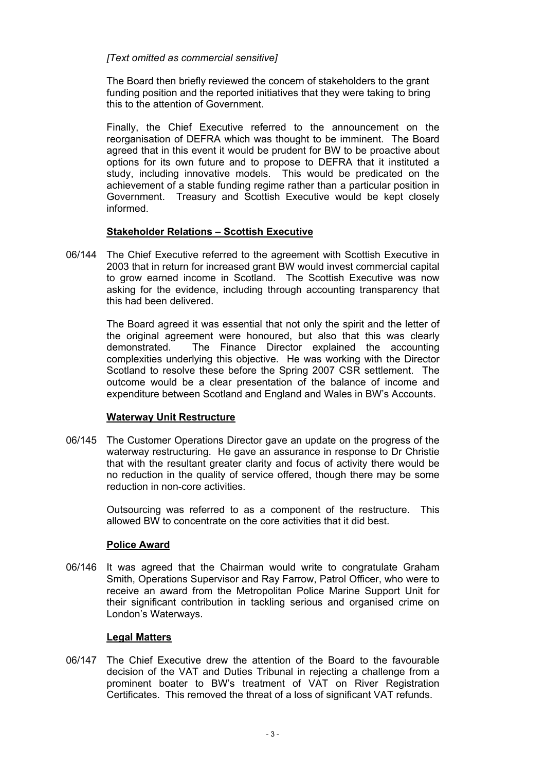# *[Text omitted as commercial sensitive]*

 The Board then briefly reviewed the concern of stakeholders to the grant funding position and the reported initiatives that they were taking to bring this to the attention of Government.

 Finally, the Chief Executive referred to the announcement on the reorganisation of DEFRA which was thought to be imminent. The Board agreed that in this event it would be prudent for BW to be proactive about options for its own future and to propose to DEFRA that it instituted a study, including innovative models. This would be predicated on the achievement of a stable funding regime rather than a particular position in Government. Treasury and Scottish Executive would be kept closely informed.

# **Stakeholder Relations – Scottish Executive**

06/144 The Chief Executive referred to the agreement with Scottish Executive in 2003 that in return for increased grant BW would invest commercial capital to grow earned income in Scotland. The Scottish Executive was now asking for the evidence, including through accounting transparency that this had been delivered.

> The Board agreed it was essential that not only the spirit and the letter of the original agreement were honoured, but also that this was clearly demonstrated. The Finance Director explained the accounting complexities underlying this objective. He was working with the Director Scotland to resolve these before the Spring 2007 CSR settlement. The outcome would be a clear presentation of the balance of income and expenditure between Scotland and England and Wales in BW's Accounts.

# **Waterway Unit Restructure**

06/145 The Customer Operations Director gave an update on the progress of the waterway restructuring. He gave an assurance in response to Dr Christie that with the resultant greater clarity and focus of activity there would be no reduction in the quality of service offered, though there may be some reduction in non-core activities.

> Outsourcing was referred to as a component of the restructure. This allowed BW to concentrate on the core activities that it did best.

# **Police Award**

06/146 It was agreed that the Chairman would write to congratulate Graham Smith, Operations Supervisor and Ray Farrow, Patrol Officer, who were to receive an award from the Metropolitan Police Marine Support Unit for their significant contribution in tackling serious and organised crime on London's Waterways.

# **Legal Matters**

06/147 The Chief Executive drew the attention of the Board to the favourable decision of the VAT and Duties Tribunal in rejecting a challenge from a prominent boater to BW's treatment of VAT on River Registration Certificates. This removed the threat of a loss of significant VAT refunds.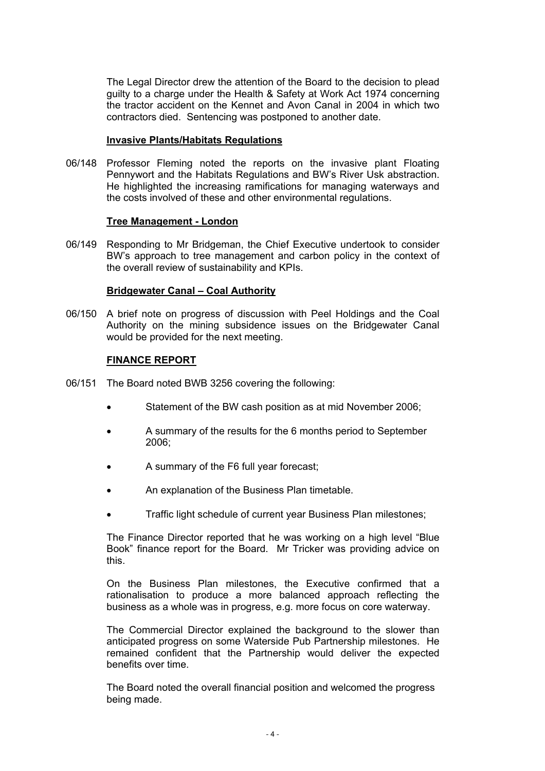The Legal Director drew the attention of the Board to the decision to plead guilty to a charge under the Health & Safety at Work Act 1974 concerning the tractor accident on the Kennet and Avon Canal in 2004 in which two contractors died. Sentencing was postponed to another date.

### **Invasive Plants/Habitats Regulations**

06/148 Professor Fleming noted the reports on the invasive plant Floating Pennywort and the Habitats Regulations and BW's River Usk abstraction. He highlighted the increasing ramifications for managing waterways and the costs involved of these and other environmental regulations.

#### **Tree Management - London**

06/149 Responding to Mr Bridgeman, the Chief Executive undertook to consider BW's approach to tree management and carbon policy in the context of the overall review of sustainability and KPIs.

#### **Bridgewater Canal – Coal Authority**

06/150 A brief note on progress of discussion with Peel Holdings and the Coal Authority on the mining subsidence issues on the Bridgewater Canal would be provided for the next meeting.

#### **FINANCE REPORT**

- 06/151 The Board noted BWB 3256 covering the following:
	- Statement of the BW cash position as at mid November 2006;
	- A summary of the results for the 6 months period to September 2006;
	- A summary of the F6 full year forecast;
	- An explanation of the Business Plan timetable.
	- Traffic light schedule of current year Business Plan milestones;

 The Finance Director reported that he was working on a high level "Blue Book" finance report for the Board. Mr Tricker was providing advice on this.

 On the Business Plan milestones, the Executive confirmed that a rationalisation to produce a more balanced approach reflecting the business as a whole was in progress, e.g. more focus on core waterway.

 The Commercial Director explained the background to the slower than anticipated progress on some Waterside Pub Partnership milestones. He remained confident that the Partnership would deliver the expected benefits over time.

 The Board noted the overall financial position and welcomed the progress being made.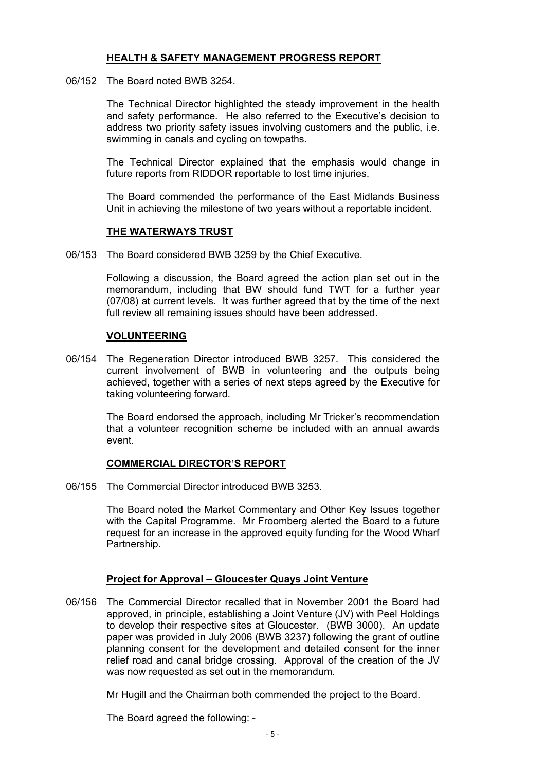# **HEALTH & SAFETY MANAGEMENT PROGRESS REPORT**

06/152 The Board noted BWB 3254.

 The Technical Director highlighted the steady improvement in the health and safety performance. He also referred to the Executive's decision to address two priority safety issues involving customers and the public, i.e. swimming in canals and cycling on towpaths.

 The Technical Director explained that the emphasis would change in future reports from RIDDOR reportable to lost time injuries.

 The Board commended the performance of the East Midlands Business Unit in achieving the milestone of two years without a reportable incident.

#### **THE WATERWAYS TRUST**

06/153 The Board considered BWB 3259 by the Chief Executive.

 Following a discussion, the Board agreed the action plan set out in the memorandum, including that BW should fund TWT for a further year (07/08) at current levels. It was further agreed that by the time of the next full review all remaining issues should have been addressed.

#### **VOLUNTEERING**

06/154 The Regeneration Director introduced BWB 3257. This considered the current involvement of BWB in volunteering and the outputs being achieved, together with a series of next steps agreed by the Executive for taking volunteering forward.

> The Board endorsed the approach, including Mr Tricker's recommendation that a volunteer recognition scheme be included with an annual awards event.

#### **COMMERCIAL DIRECTOR'S REPORT**

06/155 The Commercial Director introduced BWB 3253.

 The Board noted the Market Commentary and Other Key Issues together with the Capital Programme. Mr Froomberg alerted the Board to a future request for an increase in the approved equity funding for the Wood Wharf Partnership.

#### **Project for Approval – Gloucester Quays Joint Venture**

06/156 The Commercial Director recalled that in November 2001 the Board had approved, in principle, establishing a Joint Venture (JV) with Peel Holdings to develop their respective sites at Gloucester. (BWB 3000). An update paper was provided in July 2006 (BWB 3237) following the grant of outline planning consent for the development and detailed consent for the inner relief road and canal bridge crossing. Approval of the creation of the JV was now requested as set out in the memorandum.

Mr Hugill and the Chairman both commended the project to the Board.

The Board agreed the following: -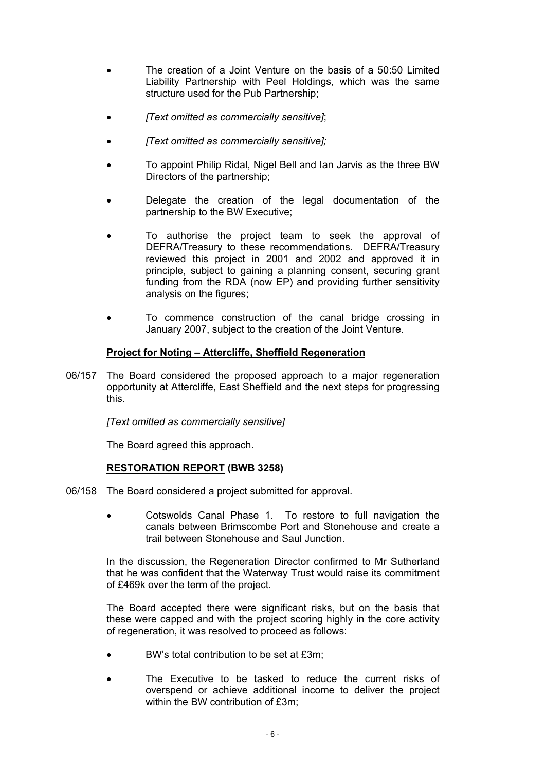- The creation of a Joint Venture on the basis of a 50:50 Limited Liability Partnership with Peel Holdings, which was the same structure used for the Pub Partnership;
- *[Text omitted as commercially sensitive]*;
- *[Text omitted as commercially sensitive];*
- To appoint Philip Ridal, Nigel Bell and Ian Jarvis as the three BW Directors of the partnership;
- Delegate the creation of the legal documentation of the partnership to the BW Executive;
- To authorise the project team to seek the approval of DEFRA/Treasury to these recommendations. DEFRA/Treasury reviewed this project in 2001 and 2002 and approved it in principle, subject to gaining a planning consent, securing grant funding from the RDA (now EP) and providing further sensitivity analysis on the figures;
- To commence construction of the canal bridge crossing in January 2007, subject to the creation of the Joint Venture.

#### **Project for Noting – Attercliffe, Sheffield Regeneration**

06/157 The Board considered the proposed approach to a major regeneration opportunity at Attercliffe, East Sheffield and the next steps for progressing this.

*[Text omitted as commercially sensitive]* 

The Board agreed this approach.

# **RESTORATION REPORT (BWB 3258)**

- 06/158 The Board considered a project submitted for approval.
	- Cotswolds Canal Phase 1. To restore to full navigation the canals between Brimscombe Port and Stonehouse and create a trail between Stonehouse and Saul Junction.

 In the discussion, the Regeneration Director confirmed to Mr Sutherland that he was confident that the Waterway Trust would raise its commitment of £469k over the term of the project.

 The Board accepted there were significant risks, but on the basis that these were capped and with the project scoring highly in the core activity of regeneration, it was resolved to proceed as follows:

- BW's total contribution to be set at £3m;
- The Executive to be tasked to reduce the current risks of overspend or achieve additional income to deliver the project within the BW contribution of £3m;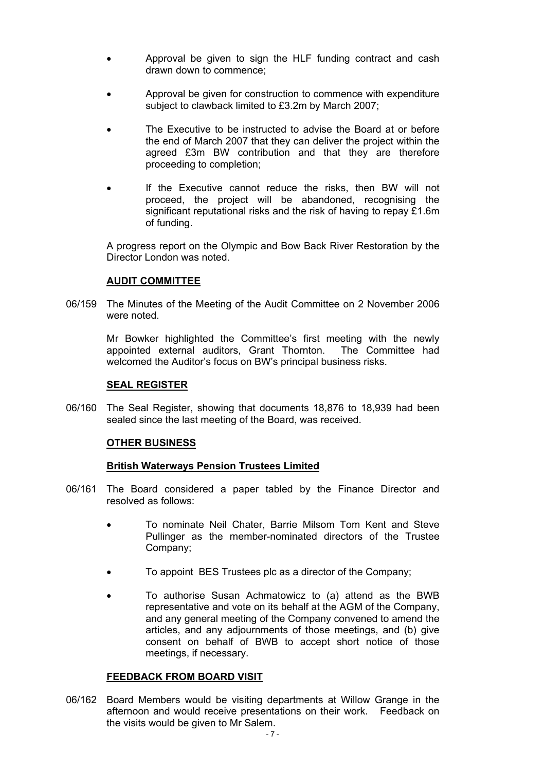- Approval be given to sign the HLF funding contract and cash drawn down to commence;
- Approval be given for construction to commence with expenditure subject to clawback limited to £3.2m by March 2007;
- The Executive to be instructed to advise the Board at or before the end of March 2007 that they can deliver the project within the agreed £3m BW contribution and that they are therefore proceeding to completion;
- If the Executive cannot reduce the risks, then BW will not proceed, the project will be abandoned, recognising the significant reputational risks and the risk of having to repay £1.6m of funding.

 A progress report on the Olympic and Bow Back River Restoration by the Director London was noted.

#### **AUDIT COMMITTEE**

06/159 The Minutes of the Meeting of the Audit Committee on 2 November 2006 were noted.

> Mr Bowker highlighted the Committee's first meeting with the newly appointed external auditors, Grant Thornton. The Committee had welcomed the Auditor's focus on BW's principal business risks.

#### **SEAL REGISTER**

06/160 The Seal Register, showing that documents 18,876 to 18,939 had been sealed since the last meeting of the Board, was received.

#### **OTHER BUSINESS**

#### **British Waterways Pension Trustees Limited**

- 06/161 The Board considered a paper tabled by the Finance Director and resolved as follows:
	- To nominate Neil Chater, Barrie Milsom Tom Kent and Steve Pullinger as the member-nominated directors of the Trustee Company;
	- To appoint BES Trustees plc as a director of the Company;
	- To authorise Susan Achmatowicz to (a) attend as the BWB representative and vote on its behalf at the AGM of the Company, and any general meeting of the Company convened to amend the articles, and any adjournments of those meetings, and (b) give consent on behalf of BWB to accept short notice of those meetings, if necessary.

#### **FEEDBACK FROM BOARD VISIT**

06/162 Board Members would be visiting departments at Willow Grange in the afternoon and would receive presentations on their work. Feedback on the visits would be given to Mr Salem.